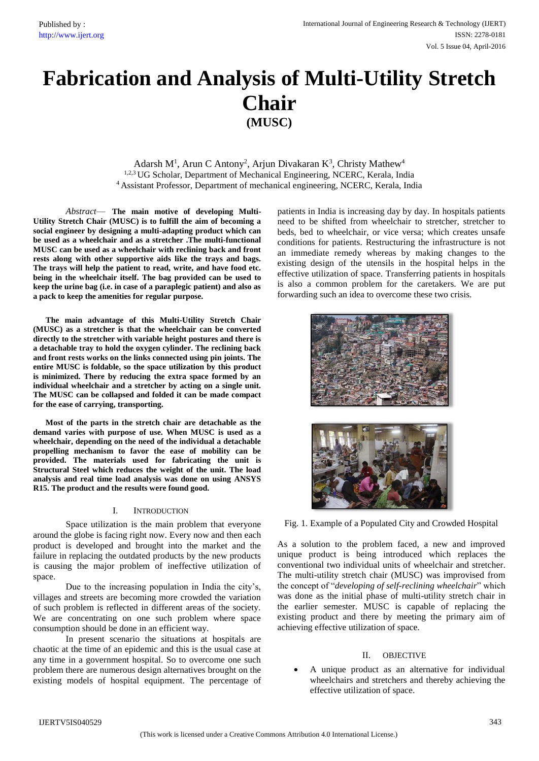# **Fabrication and Analysis of Multi-Utility Stretch Chair (MUSC)**

Adarsh M<sup>1</sup>, Arun C Antony<sup>2</sup>, Arjun Divakaran K<sup>3</sup>, Christy Mathew<sup>4</sup> <sup>1,2,3</sup> UG Scholar, Department of Mechanical Engineering, NCERC, Kerala, India <sup>4</sup> Assistant Professor, Department of mechanical engineering, NCERC, Kerala, India

*Abstract*— **The main motive of developing Multi-Utility Stretch Chair (MUSC) is to fulfill the aim of becoming a social engineer by designing a multi-adapting product which can be used as a wheelchair and as a stretcher .The multi-functional MUSC can be used as a wheelchair with reclining back and front rests along with other supportive aids like the trays and bags. The trays will help the patient to read, write, and have food etc. being in the wheelchair itself. The bag provided can be used to keep the urine bag (i.e. in case of a paraplegic patient) and also as a pack to keep the amenities for regular purpose.**

**The main advantage of this Multi-Utility Stretch Chair (MUSC) as a stretcher is that the wheelchair can be converted directly to the stretcher with variable height postures and there is a detachable tray to hold the oxygen cylinder. The reclining back and front rests works on the links connected using pin joints. The entire MUSC is foldable, so the space utilization by this product is minimized. There by reducing the extra space formed by an individual wheelchair and a stretcher by acting on a single unit. The MUSC can be collapsed and folded it can be made compact for the ease of carrying, transporting.**

**Most of the parts in the stretch chair are detachable as the demand varies with purpose of use. When MUSC is used as a wheelchair, depending on the need of the individual a detachable propelling mechanism to favor the ease of mobility can be provided. The materials used for fabricating the unit is Structural Steel which reduces the weight of the unit. The load analysis and real time load analysis was done on using ANSYS R15. The product and the results were found good.**

# I. INTRODUCTION

Space utilization is the main problem that everyone around the globe is facing right now. Every now and then each product is developed and brought into the market and the failure in replacing the outdated products by the new products is causing the major problem of ineffective utilization of space.

Due to the increasing population in India the city's, villages and streets are becoming more crowded the variation of such problem is reflected in different areas of the society. We are concentrating on one such problem where space consumption should be done in an efficient way.

In present scenario the situations at hospitals are chaotic at the time of an epidemic and this is the usual case at any time in a government hospital. So to overcome one such problem there are numerous design alternatives brought on the existing models of hospital equipment. The percentage of patients in India is increasing day by day. In hospitals patients need to be shifted from wheelchair to stretcher, stretcher to beds, bed to wheelchair, or vice versa; which creates unsafe conditions for patients. Restructuring the infrastructure is not an immediate remedy whereas by making changes to the existing design of the utensils in the hospital helps in the effective utilization of space. Transferring patients in hospitals is also a common problem for the caretakers. We are put forwarding such an idea to overcome these two crisis.





Fig. 1. Example of a Populated City and Crowded Hospital

As a solution to the problem faced, a new and improved unique product is being introduced which replaces the conventional two individual units of wheelchair and stretcher. The multi-utility stretch chair (MUSC) was improvised from the concept of "*developing of self-reclining wheelchair*" which was done as the initial phase of multi-utility stretch chair in the earlier semester. MUSC is capable of replacing the existing product and there by meeting the primary aim of achieving effective utilization of space.

### II. OBJECTIVE

 A unique product as an alternative for individual wheelchairs and stretchers and thereby achieving the effective utilization of space.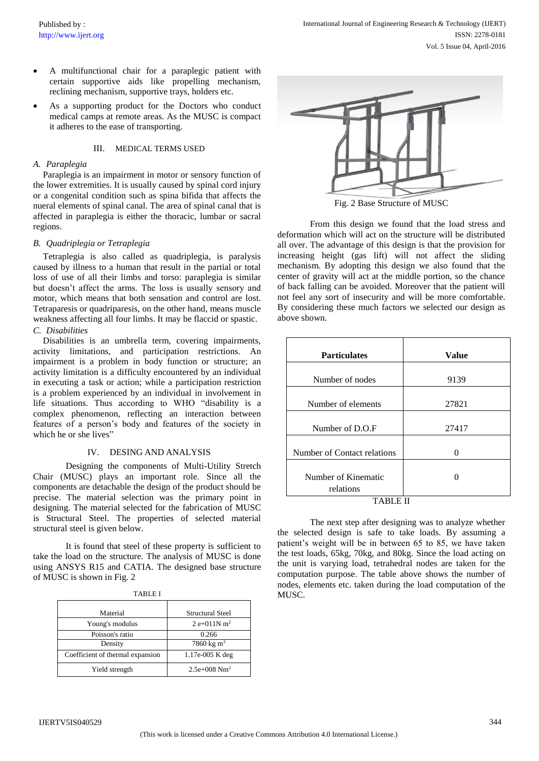- A multifunctional chair for a paraplegic patient with certain supportive aids like propelling mechanism, reclining mechanism, supportive trays, holders etc.
- As a supporting product for the Doctors who conduct medical camps at remote areas. As the MUSC is compact it adheres to the ease of transporting.

## III. MEDICAL TERMS USED

#### *A. Paraplegia*

Paraplegia is an impairment in motor or sensory function of the lower extremities. It is usually caused by spinal cord injury or a congenital condition such as spina bifida that affects the nueral elements of spinal canal. The area of spinal canal that is affected in paraplegia is either the thoracic, lumbar or sacral regions.

#### *B. Quadriplegia or Tetraplegia*

Tetraplegia is also called as quadriplegia, is paralysis caused by illness to a human that result in the partial or total loss of use of all their limbs and torso: paraplegia is similar but doesn't affect the arms. The loss is usually sensory and motor, which means that both sensation and control are lost. Tetraparesis or quadriparesis, on the other hand, means muscle weakness affecting all four limbs. It may be flaccid or spastic. *C. Disabilities*

Disabilities is an umbrella term, covering impairments, activity limitations, and participation restrictions. An impairment is a problem in body function or structure; an activity limitation is a difficulty encountered by an individual in executing a task or action; while a participation restriction is a problem experienced by an individual in involvement in life situations. Thus according to WHO "disability is a complex phenomenon, reflecting an interaction between features of a person's body and features of the society in which he or she lives"

# IV. DESING AND ANALYSIS

Designing the components of Multi-Utility Stretch Chair (MUSC) plays an important role. Since all the components are detachable the design of the product should be precise. The material selection was the primary point in designing. The material selected for the fabrication of MUSC is Structural Steel. The properties of selected material structural steel is given below.

It is found that steel of these property is sufficient to take the load on the structure. The analysis of MUSC is done using ANSYS R15 and CATIA. The designed base structure of MUSC is shown in Fig. 2

| Material                         | <b>Structural Steel</b>     |
|----------------------------------|-----------------------------|
| Young's modulus                  | $2 e+011N m2$               |
| Poisson's ratio                  | 0.266                       |
| Density                          | 7860 kg m <sup>3</sup>      |
| Coefficient of thermal expansion | 1.17e-005 K deg             |
| Yield strength                   | $2.5e+0.08$ Nm <sup>2</sup> |



From this design we found that the load stress and deformation which will act on the structure will be distributed all over. The advantage of this design is that the provision for increasing height (gas lift) will not affect the sliding mechanism. By adopting this design we also found that the center of gravity will act at the middle portion, so the chance of back falling can be avoided. Moreover that the patient will not feel any sort of insecurity and will be more comfortable. By considering these much factors we selected our design as above shown.

| <b>Particulates</b>         | <b>Value</b> |  |
|-----------------------------|--------------|--|
| Number of nodes             | 9139         |  |
| Number of elements          | 27821        |  |
| Number of D.O.F             | 27417        |  |
| Number of Contact relations |              |  |
| Number of Kinematic         |              |  |
| relations                   |              |  |

The next step after designing was to analyze whether the selected design is safe to take loads. By assuming a patient's weight will be in between 65 to 85, we have taken the test loads, 65kg, 70kg, and 80kg. Since the load acting on the unit is varying load, tetrahedral nodes are taken for the computation purpose. The table above shows the number of nodes, elements etc. taken during the load computation of the MUSC.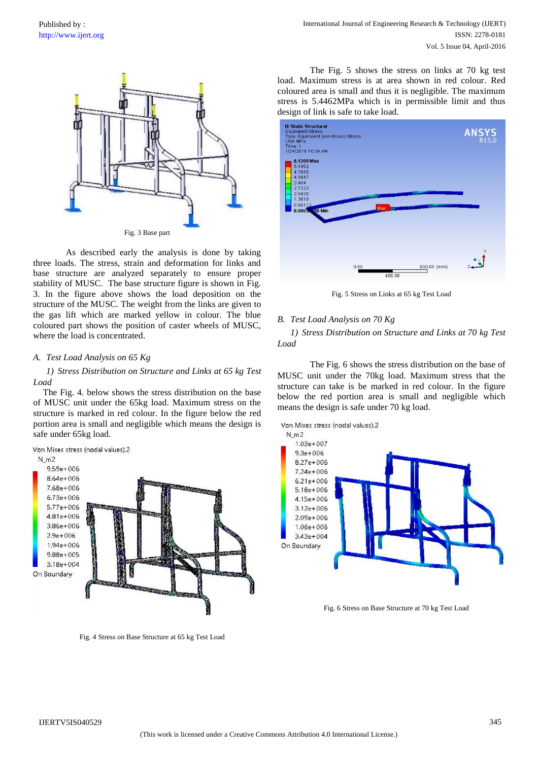

As described early the analysis is done by taking three loads. The stress, strain and deformation for links and base structure are analyzed separately to ensure proper stability of MUSC. The base structure figure is shown in Fig. 3. In the figure above shows the load deposition on the structure of the MUSC. The weight from the links are given to the gas lift which are marked yellow in colour. The blue coloured part shows the position of caster wheels of MUSC, where the load is concentrated.

### *A. Test Load Analysis on 65 Kg*

# *1) Stress Distribution on Structure and Links at 65 kg Test Load*

The Fig. 4. below shows the stress distribution on the base of MUSC unit under the 65kg load. Maximum stress on the structure is marked in red colour. In the figure below the red portion area is small and negligible which means the design is safe under 65kg load.



Fig. 4 Stress on Base Structure at 65 kg Test Load

The Fig. 5 shows the stress on links at 70 kg test load. Maximum stress is at area shown in red colour. Red coloured area is small and thus it is negligible. The maximum stress is 5.4462MPa which is in permissible limit and thus design of link is safe to take load.



Fig. 5 Stress on Links at 65 kg Test Load

#### *B. Test Load Analysis on 70 Kg*

*1) Stress Distribution on Structure and Links at 70 kg Test Load*

The Fig. 6 shows the stress distribution on the base of MUSC unit under the 70kg load. Maximum stress that the structure can take is be marked in red colour. In the figure below the red portion area is small and negligible which means the design is safe under 70 kg load.



Fig. 6 Stress on Base Structure at 70 kg Test Load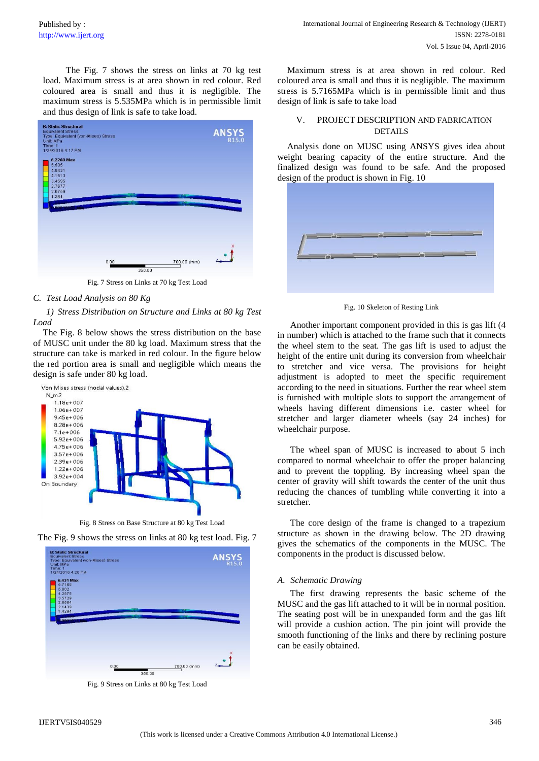The Fig. 7 shows the stress on links at 70 kg test load. Maximum stress is at area shown in red colour. Red coloured area is small and thus it is negligible. The maximum stress is 5.535MPa which is in permissible limit and thus design of link is safe to take load.



Fig. 7 Stress on Links at 70 kg Test Load

# *C. Test Load Analysis on 80 Kg*

*1) Stress Distribution on Structure and Links at 80 kg Test Load*

The Fig. 8 below shows the stress distribution on the base of MUSC unit under the 80 kg load. Maximum stress that the structure can take is marked in red colour. In the figure below the red portion area is small and negligible which means the design is safe under 80 kg load.



Fig. 8 Stress on Base Structure at 80 kg Test Load





Fig. 9 Stress on Links at 80 kg Test Load

Maximum stress is at area shown in red colour. Red coloured area is small and thus it is negligible. The maximum stress is 5.7165MPa which is in permissible limit and thus design of link is safe to take load

# V. PROJECT DESCRIPTION AND FABRICATION DETAILS

Analysis done on MUSC using ANSYS gives idea about weight bearing capacity of the entire structure. And the finalized design was found to be safe. And the proposed design of the product is shown in Fig. 10



Fig. 10 Skeleton of Resting Link

Another important component provided in this is gas lift (4 in number) which is attached to the frame such that it connects the wheel stem to the seat. The gas lift is used to adjust the height of the entire unit during its conversion from wheelchair to stretcher and vice versa. The provisions for height adjustment is adopted to meet the specific requirement according to the need in situations. Further the rear wheel stem is furnished with multiple slots to support the arrangement of wheels having different dimensions i.e. caster wheel for stretcher and larger diameter wheels (say 24 inches) for wheelchair purpose.

The wheel span of MUSC is increased to about 5 inch compared to normal wheelchair to offer the proper balancing and to prevent the toppling. By increasing wheel span the center of gravity will shift towards the center of the unit thus reducing the chances of tumbling while converting it into a stretcher.

The core design of the frame is changed to a trapezium structure as shown in the drawing below. The 2D drawing gives the schematics of the components in the MUSC. The components in the product is discussed below.

### *A. Schematic Drawing*

The first drawing represents the basic scheme of the MUSC and the gas lift attached to it will be in normal position. The seating post will be in unexpanded form and the gas lift will provide a cushion action. The pin joint will provide the smooth functioning of the links and there by reclining posture can be easily obtained.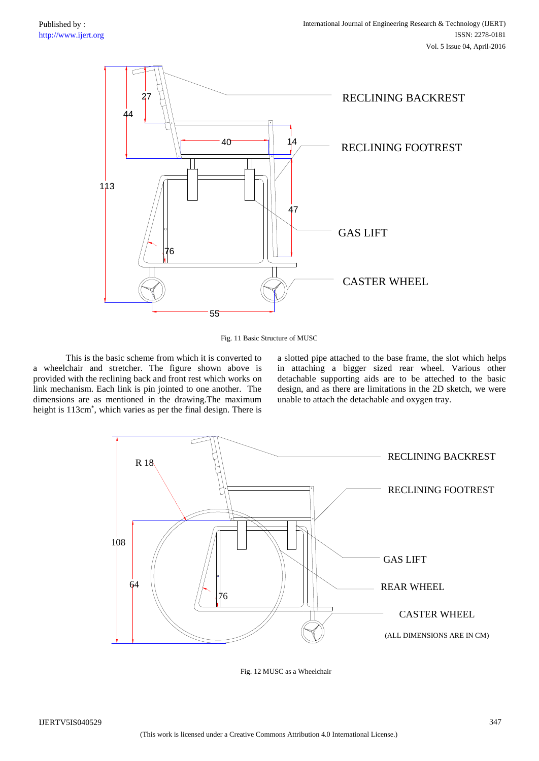

Fig. 11 Basic Structure of MUSC

This is the basic scheme from which it is converted to a wheelchair and stretcher. The figure shown above is provided with the reclining back and front rest which works on link mechanism. Each link is pin jointed to one another. The dimensions are as mentioned in the drawing.The maximum height is 113cm\* , which varies as per the final design. There is a slotted pipe attached to the base frame, the slot which helps in attaching a bigger sized rear wheel. Various other detachable supporting aids are to be atteched to the basic design, and as there are limitations in the 2D sketch, we were unable to attach the detachable and oxygen tray.



Fig. 12 MUSC as a Wheelchair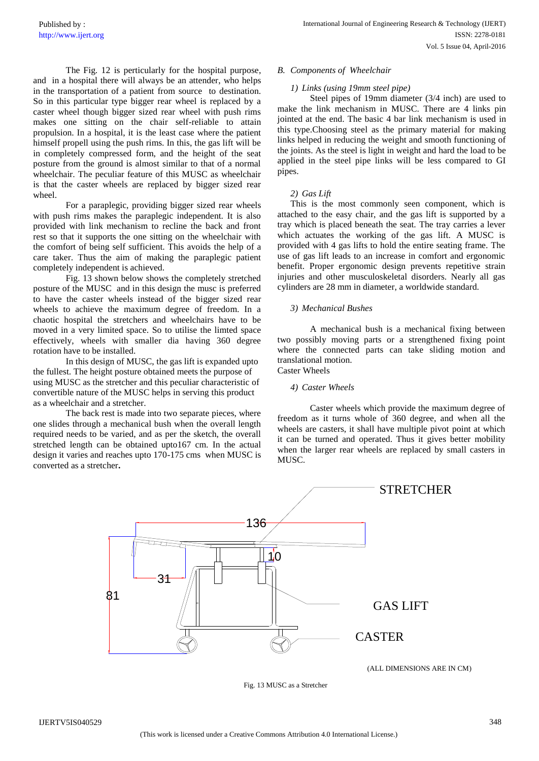The Fig. 12 is perticularly for the hospital purpose, and in a hospital there will always be an attender, who helps in the transportation of a patient from source to destination. So in this particular type bigger rear wheel is replaced by a caster wheel though bigger sized rear wheel with push rims makes one sitting on the chair self-reliable to attain propulsion. In a hospital, it is the least case where the patient himself propell using the push rims. In this, the gas lift will be in completely compressed form, and the height of the seat posture from the ground is almost similar to that of a normal wheelchair. The peculiar feature of this MUSC as wheelchair is that the caster wheels are replaced by bigger sized rear wheel.

For a paraplegic, providing bigger sized rear wheels with push rims makes the paraplegic independent. It is also provided with link mechanism to recline the back and front rest so that it supports the one sitting on the wheelchair with the comfort of being self sufficient. This avoids the help of a care taker. Thus the aim of making the paraplegic patient completely independent is achieved.

Fig. 13 shown below shows the completely stretched posture of the MUSC and in this design the musc is preferred to have the caster wheels instead of the bigger sized rear wheels to achieve the maximum degree of freedom. In a chaotic hospital the stretchers and wheelchairs have to be moved in a very limited space. So to utilise the limted space effectively, wheels with smaller dia having 360 degree rotation have to be installed.

In this design of MUSC, the gas lift is expanded upto the fullest. The height posture obtained meets the purpose of using MUSC as the stretcher and this peculiar characteristic of convertible nature of the MUSC helps in serving this product as a wheelchair and a stretcher.

The back rest is made into two separate pieces, where one slides through a mechanical bush when the overall length required needs to be varied, and as per the sketch, the overall stretched length can be obtained upto167 cm. In the actual design it varies and reaches upto 170-175 cms when MUSC is converted as a stretcher**.**

# *B. Components of Wheelchair*

# *1) Links (using 19mm steel pipe)*

 Steel pipes of 19mm diameter (3/4 inch) are used to make the link mechanism in MUSC. There are 4 links pin jointed at the end. The basic 4 bar link mechanism is used in this type.Choosing steel as the primary material for making links helped in reducing the weight and smooth functioning of the joints. As the steel is light in weight and hard the load to be applied in the steel pipe links will be less compared to GI pipes.

## *2) Gas Lift*

This is the most commonly seen component, which is attached to the easy chair, and the gas lift is supported by a tray which is placed beneath the seat. The tray carries a lever which actuates the working of the gas lift. A MUSC is provided with 4 gas lifts to hold the entire seating frame. The use of gas lift leads to an increase in comfort and ergonomic benefit. Proper ergonomic design prevents repetitive strain injuries and other musculoskeletal disorders. Nearly all gas cylinders are 28 mm in diameter, a worldwide standard.

# *3) Mechanical Bushes*

A mechanical bush is a mechanical fixing between two possibly moving parts or a strengthened fixing point where the connected parts can take sliding motion and translational motion. Caster Wheels

### *4) Caster Wheels*

Caster wheels which provide the maximum degree of freedom as it turns whole of 360 degree, and when all the wheels are casters, it shall have multiple pivot point at which it can be turned and operated. Thus it gives better mobility when the larger rear wheels are replaced by small casters in MUSC.



Fig. 13 MUSC as a Stretcher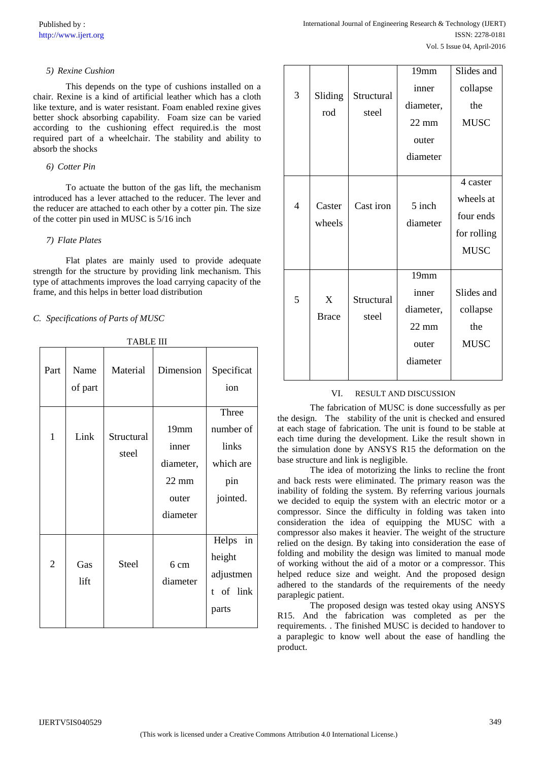# *5) Rexine Cushion*

This depends on the type of cushions installed on a chair. Rexine is a kind of artificial leather which has a cloth like texture, and is water resistant. Foam enabled rexine gives better shock absorbing capability. Foam size can be varied according to the cushioning effect required.is the most required part of a wheelchair. The stability and ability to absorb the shocks

# *6) Cotter Pin*

To actuate the button of the gas lift, the mechanism introduced has a lever attached to the reducer. The lever and the reducer are attached to each other by a cotter pin. The size of the cotter pin used in MUSC is 5/16 inch

# *7) Flate Plates*

Flat plates are mainly used to provide adequate strength for the structure by providing link mechanism. This type of attachments improves the load carrying capacity of the frame, and this helps in better load distribution

*C. Specifications of Parts of MUSC*

| Part           | Name<br>of part | Material            | Dimension                                                          | Specificat<br>ion                                           |
|----------------|-----------------|---------------------|--------------------------------------------------------------------|-------------------------------------------------------------|
| 1              | Link            | Structural<br>steel | 19mm<br>inner<br>diameter,<br>$22 \text{ mm}$<br>outer<br>diameter | Three<br>number of<br>links<br>which are<br>pin<br>jointed. |
| $\overline{2}$ | Gas<br>lift     | <b>Steel</b>        | 6 cm<br>diameter                                                   | in<br>Helps<br>height<br>adjustmen<br>t of link<br>parts    |

TABLE III

|                          |                   |                     | 19mm                                                               | Slides and                                                       |
|--------------------------|-------------------|---------------------|--------------------------------------------------------------------|------------------------------------------------------------------|
| 3                        | Sliding<br>rod    | Structural<br>steel | inner<br>diameter,<br>$22 \text{ mm}$<br>outer<br>diameter         | collapse<br>the<br><b>MUSC</b>                                   |
| $\overline{\mathcal{L}}$ | Caster<br>wheels  | Cast iron           | 5 inch<br>diameter                                                 | 4 caster<br>wheels at<br>four ends<br>for rolling<br><b>MUSC</b> |
| 5                        | X<br><b>Brace</b> | Structural<br>steel | 19mm<br>inner<br>diameter,<br>$22 \text{ mm}$<br>outer<br>diameter | Slides and<br>collapse<br>the<br><b>MUSC</b>                     |

# VI. RESULT AND DISCUSSION

The fabrication of MUSC is done successfully as per the design. The stability of the unit is checked and ensured at each stage of fabrication. The unit is found to be stable at each time during the development. Like the result shown in the simulation done by ANSYS R15 the deformation on the base structure and link is negligible.

The idea of motorizing the links to recline the front and back rests were eliminated. The primary reason was the inability of folding the system. By referring various journals we decided to equip the system with an electric motor or a compressor. Since the difficulty in folding was taken into consideration the idea of equipping the MUSC with a compressor also makes it heavier. The weight of the structure relied on the design. By taking into consideration the ease of folding and mobility the design was limited to manual mode of working without the aid of a motor or a compressor. This helped reduce size and weight. And the proposed design adhered to the standards of the requirements of the needy paraplegic patient.

The proposed design was tested okay using ANSYS R15. And the fabrication was completed as per the requirements. . The finished MUSC is decided to handover to a paraplegic to know well about the ease of handling the product.